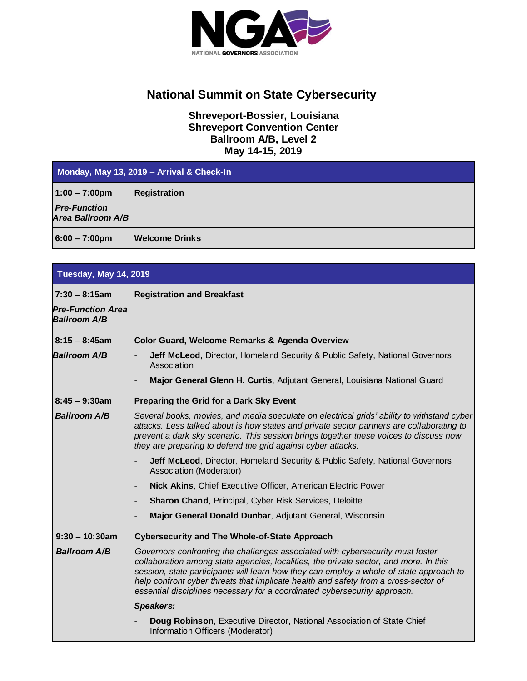

## **National Summit on State Cybersecurity**

## **Shreveport-Bossier, Louisiana Shreveport Convention Center Ballroom A/B, Level 2 May 14-15, 2019**

| Monday, May 13, 2019 - Arrival & Check-In       |                       |
|-------------------------------------------------|-----------------------|
| $1:00 - 7:00 \text{pm}$                         | <b>Registration</b>   |
| <b>Pre-Function</b><br><b>Area Ballroom A/B</b> |                       |
| $6:00 - 7:00 \text{pm}$                         | <b>Welcome Drinks</b> |

| <b>Tuesday, May 14, 2019</b>                    |                                                                                                                                                                                                                                                                                                                                                                                                                                        |
|-------------------------------------------------|----------------------------------------------------------------------------------------------------------------------------------------------------------------------------------------------------------------------------------------------------------------------------------------------------------------------------------------------------------------------------------------------------------------------------------------|
| $7:30 - 8:15am$                                 | <b>Registration and Breakfast</b>                                                                                                                                                                                                                                                                                                                                                                                                      |
| <b>Pre-Function Area</b><br><b>Ballroom A/B</b> |                                                                                                                                                                                                                                                                                                                                                                                                                                        |
| $8:15 - 8:45$ am                                | Color Guard, Welcome Remarks & Agenda Overview                                                                                                                                                                                                                                                                                                                                                                                         |
| <b>Ballroom A/B</b>                             | Jeff McLeod, Director, Homeland Security & Public Safety, National Governors<br>Association                                                                                                                                                                                                                                                                                                                                            |
|                                                 | Major General Glenn H. Curtis, Adjutant General, Louisiana National Guard                                                                                                                                                                                                                                                                                                                                                              |
| $8:45 - 9:30$ am                                | Preparing the Grid for a Dark Sky Event                                                                                                                                                                                                                                                                                                                                                                                                |
| <b>Ballroom A/B</b>                             | Several books, movies, and media speculate on electrical grids' ability to withstand cyber<br>attacks. Less talked about is how states and private sector partners are collaborating to<br>prevent a dark sky scenario. This session brings together these voices to discuss how<br>they are preparing to defend the grid against cyber attacks.                                                                                       |
|                                                 | <b>Jeff McLeod, Director, Homeland Security &amp; Public Safety, National Governors</b><br>Association (Moderator)                                                                                                                                                                                                                                                                                                                     |
|                                                 | Nick Akins, Chief Executive Officer, American Electric Power                                                                                                                                                                                                                                                                                                                                                                           |
|                                                 | <b>Sharon Chand, Principal, Cyber Risk Services, Deloitte</b>                                                                                                                                                                                                                                                                                                                                                                          |
|                                                 | Major General Donald Dunbar, Adjutant General, Wisconsin                                                                                                                                                                                                                                                                                                                                                                               |
| $9:30 - 10:30$ am                               | <b>Cybersecurity and The Whole-of-State Approach</b>                                                                                                                                                                                                                                                                                                                                                                                   |
| <b>Ballroom A/B</b>                             | Governors confronting the challenges associated with cybersecurity must foster<br>collaboration among state agencies, localities, the private sector, and more. In this<br>session, state participants will learn how they can employ a whole-of-state approach to<br>help confront cyber threats that implicate health and safety from a cross-sector of<br>essential disciplines necessary for a coordinated cybersecurity approach. |
|                                                 | <b>Speakers:</b>                                                                                                                                                                                                                                                                                                                                                                                                                       |
|                                                 | Doug Robinson, Executive Director, National Association of State Chief<br>Information Officers (Moderator)                                                                                                                                                                                                                                                                                                                             |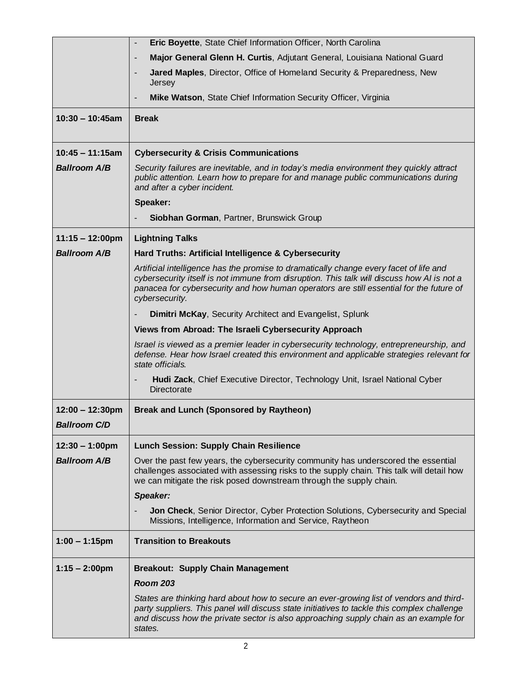|                           | Eric Boyette, State Chief Information Officer, North Carolina                                                                                                                                                                                                                                     |
|---------------------------|---------------------------------------------------------------------------------------------------------------------------------------------------------------------------------------------------------------------------------------------------------------------------------------------------|
|                           | Major General Glenn H. Curtis, Adjutant General, Louisiana National Guard                                                                                                                                                                                                                         |
|                           | Jared Maples, Director, Office of Homeland Security & Preparedness, New<br>Jersey                                                                                                                                                                                                                 |
|                           | Mike Watson, State Chief Information Security Officer, Virginia                                                                                                                                                                                                                                   |
| $10:30 - 10:45am$         | <b>Break</b>                                                                                                                                                                                                                                                                                      |
| $10:45 - 11:15am$         | <b>Cybersecurity &amp; Crisis Communications</b>                                                                                                                                                                                                                                                  |
| <b>Ballroom A/B</b>       | Security failures are inevitable, and in today's media environment they quickly attract<br>public attention. Learn how to prepare for and manage public communications during<br>and after a cyber incident.                                                                                      |
|                           | Speaker:                                                                                                                                                                                                                                                                                          |
|                           | Siobhan Gorman, Partner, Brunswick Group                                                                                                                                                                                                                                                          |
| $11:15 - 12:00 \text{pm}$ | <b>Lightning Talks</b>                                                                                                                                                                                                                                                                            |
| <b>Ballroom A/B</b>       | Hard Truths: Artificial Intelligence & Cybersecurity                                                                                                                                                                                                                                              |
|                           | Artificial intelligence has the promise to dramatically change every facet of life and<br>cybersecurity itself is not immune from disruption. This talk will discuss how AI is not a<br>panacea for cybersecurity and how human operators are still essential for the future of<br>cybersecurity. |
|                           | Dimitri McKay, Security Architect and Evangelist, Splunk                                                                                                                                                                                                                                          |
|                           | Views from Abroad: The Israeli Cybersecurity Approach                                                                                                                                                                                                                                             |
|                           | Israel is viewed as a premier leader in cybersecurity technology, entrepreneurship, and<br>defense. Hear how Israel created this environment and applicable strategies relevant for<br>state officials.                                                                                           |
|                           | Hudi Zack, Chief Executive Director, Technology Unit, Israel National Cyber<br>Directorate                                                                                                                                                                                                        |
| $12:00 - 12:30 \text{pm}$ | <b>Break and Lunch (Sponsored by Raytheon)</b>                                                                                                                                                                                                                                                    |
| <b>Ballroom C/D</b>       |                                                                                                                                                                                                                                                                                                   |
| $12:30 - 1:00 \text{pm}$  | <b>Lunch Session: Supply Chain Resilience</b>                                                                                                                                                                                                                                                     |
| <b>Ballroom A/B</b>       | Over the past few years, the cybersecurity community has underscored the essential<br>challenges associated with assessing risks to the supply chain. This talk will detail how<br>we can mitigate the risk posed downstream through the supply chain.                                            |
|                           | Speaker:                                                                                                                                                                                                                                                                                          |
|                           | Jon Check, Senior Director, Cyber Protection Solutions, Cybersecurity and Special<br>Missions, Intelligence, Information and Service, Raytheon                                                                                                                                                    |
| $1:00 - 1:15$ pm          | <b>Transition to Breakouts</b>                                                                                                                                                                                                                                                                    |
| $1:15 - 2:00$ pm          | <b>Breakout: Supply Chain Management</b>                                                                                                                                                                                                                                                          |
|                           | <b>Room 203</b>                                                                                                                                                                                                                                                                                   |
|                           | States are thinking hard about how to secure an ever-growing list of vendors and third-<br>party suppliers. This panel will discuss state initiatives to tackle this complex challenge<br>and discuss how the private sector is also approaching supply chain as an example for<br>states.        |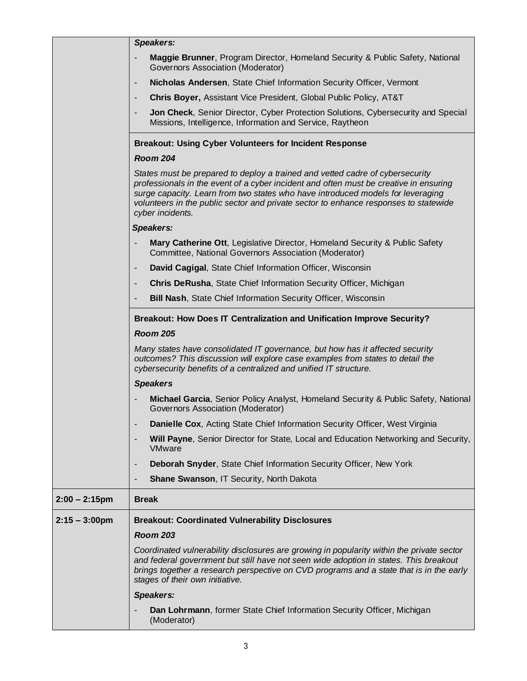|                         | <b>Speakers:</b>                                                                                                                                                                                                                                                                                                                                                      |
|-------------------------|-----------------------------------------------------------------------------------------------------------------------------------------------------------------------------------------------------------------------------------------------------------------------------------------------------------------------------------------------------------------------|
|                         | <b>Maggie Brunner, Program Director, Homeland Security &amp; Public Safety, National</b><br>$\overline{\phantom{m}}$<br>Governors Association (Moderator)                                                                                                                                                                                                             |
|                         | Nicholas Andersen, State Chief Information Security Officer, Vermont<br>$\overline{\phantom{a}}$                                                                                                                                                                                                                                                                      |
|                         | <b>Chris Boyer, Assistant Vice President, Global Public Policy, AT&amp;T</b><br>$\overline{\phantom{a}}$                                                                                                                                                                                                                                                              |
|                         | Jon Check, Senior Director, Cyber Protection Solutions, Cybersecurity and Special<br>٠<br>Missions, Intelligence, Information and Service, Raytheon                                                                                                                                                                                                                   |
|                         | <b>Breakout: Using Cyber Volunteers for Incident Response</b>                                                                                                                                                                                                                                                                                                         |
|                         | <b>Room 204</b>                                                                                                                                                                                                                                                                                                                                                       |
|                         | States must be prepared to deploy a trained and vetted cadre of cybersecurity<br>professionals in the event of a cyber incident and often must be creative in ensuring<br>surge capacity. Learn from two states who have introduced models for leveraging<br>volunteers in the public sector and private sector to enhance responses to statewide<br>cyber incidents. |
|                         | Speakers:                                                                                                                                                                                                                                                                                                                                                             |
|                         | Mary Catherine Ott, Legislative Director, Homeland Security & Public Safety<br>$\overline{\phantom{a}}$<br>Committee, National Governors Association (Moderator)                                                                                                                                                                                                      |
|                         | David Cagigal, State Chief Information Officer, Wisconsin<br>$\overline{\phantom{a}}$                                                                                                                                                                                                                                                                                 |
|                         | Chris DeRusha, State Chief Information Security Officer, Michigan<br>$\overline{\phantom{a}}$                                                                                                                                                                                                                                                                         |
|                         | Bill Nash, State Chief Information Security Officer, Wisconsin<br>٠                                                                                                                                                                                                                                                                                                   |
|                         | Breakout: How Does IT Centralization and Unification Improve Security?                                                                                                                                                                                                                                                                                                |
|                         | <b>Room 205</b>                                                                                                                                                                                                                                                                                                                                                       |
|                         | Many states have consolidated IT governance, but how has it affected security<br>outcomes? This discussion will explore case examples from states to detail the<br>cybersecurity benefits of a centralized and unified IT structure.                                                                                                                                  |
|                         | <b>Speakers</b>                                                                                                                                                                                                                                                                                                                                                       |
|                         | Michael Garcia, Senior Policy Analyst, Homeland Security & Public Safety, National<br>Governors Association (Moderator)                                                                                                                                                                                                                                               |
|                         | Danielle Cox, Acting State Chief Information Security Officer, West Virginia                                                                                                                                                                                                                                                                                          |
|                         | Will Payne, Senior Director for State, Local and Education Networking and Security,<br><b>VMware</b>                                                                                                                                                                                                                                                                  |
|                         | Deborah Snyder, State Chief Information Security Officer, New York<br>$\overline{\phantom{a}}$                                                                                                                                                                                                                                                                        |
|                         | Shane Swanson, IT Security, North Dakota<br>٠                                                                                                                                                                                                                                                                                                                         |
| $2:00 - 2:15$ pm        | <b>Break</b>                                                                                                                                                                                                                                                                                                                                                          |
| $2:15 - 3:00 \text{pm}$ | <b>Breakout: Coordinated Vulnerability Disclosures</b>                                                                                                                                                                                                                                                                                                                |
|                         | <b>Room 203</b>                                                                                                                                                                                                                                                                                                                                                       |
|                         | Coordinated vulnerability disclosures are growing in popularity within the private sector<br>and federal government but still have not seen wide adoption in states. This breakout<br>brings together a research perspective on CVD programs and a state that is in the early<br>stages of their own initiative.                                                      |
|                         | <b>Speakers:</b>                                                                                                                                                                                                                                                                                                                                                      |
|                         | Dan Lohrmann, former State Chief Information Security Officer, Michigan<br>(Moderator)                                                                                                                                                                                                                                                                                |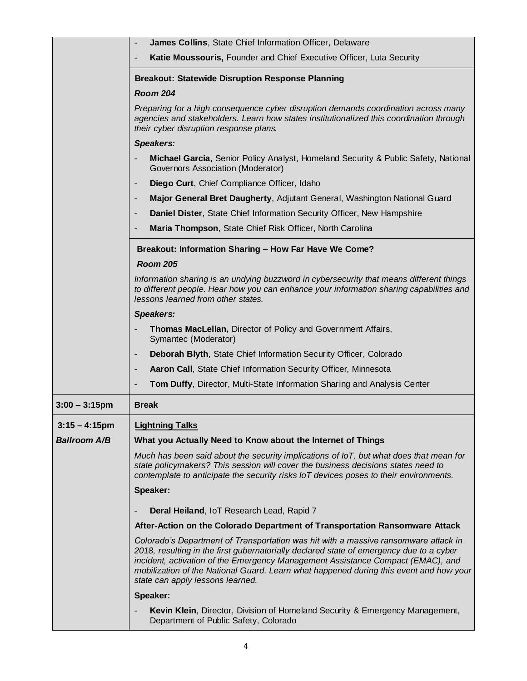|                     | James Collins, State Chief Information Officer, Delaware                                                                                                                                                                                                                                                                                                                                        |
|---------------------|-------------------------------------------------------------------------------------------------------------------------------------------------------------------------------------------------------------------------------------------------------------------------------------------------------------------------------------------------------------------------------------------------|
|                     | Katie Moussouris, Founder and Chief Executive Officer, Luta Security                                                                                                                                                                                                                                                                                                                            |
|                     | <b>Breakout: Statewide Disruption Response Planning</b>                                                                                                                                                                                                                                                                                                                                         |
|                     | <b>Room 204</b>                                                                                                                                                                                                                                                                                                                                                                                 |
|                     | Preparing for a high consequence cyber disruption demands coordination across many<br>agencies and stakeholders. Learn how states institutionalized this coordination through<br>their cyber disruption response plans.                                                                                                                                                                         |
|                     | <b>Speakers:</b>                                                                                                                                                                                                                                                                                                                                                                                |
|                     | Michael Garcia, Senior Policy Analyst, Homeland Security & Public Safety, National<br>Governors Association (Moderator)                                                                                                                                                                                                                                                                         |
|                     | Diego Curt, Chief Compliance Officer, Idaho                                                                                                                                                                                                                                                                                                                                                     |
|                     | Major General Bret Daugherty, Adjutant General, Washington National Guard                                                                                                                                                                                                                                                                                                                       |
|                     | Daniel Dister, State Chief Information Security Officer, New Hampshire                                                                                                                                                                                                                                                                                                                          |
|                     | Maria Thompson, State Chief Risk Officer, North Carolina                                                                                                                                                                                                                                                                                                                                        |
|                     | Breakout: Information Sharing - How Far Have We Come?                                                                                                                                                                                                                                                                                                                                           |
|                     | <b>Room 205</b>                                                                                                                                                                                                                                                                                                                                                                                 |
|                     | Information sharing is an undying buzzword in cybersecurity that means different things<br>to different people. Hear how you can enhance your information sharing capabilities and<br>lessons learned from other states.                                                                                                                                                                        |
|                     | <b>Speakers:</b>                                                                                                                                                                                                                                                                                                                                                                                |
|                     | Thomas MacLellan, Director of Policy and Government Affairs,<br>Symantec (Moderator)                                                                                                                                                                                                                                                                                                            |
|                     | Deborah Blyth, State Chief Information Security Officer, Colorado                                                                                                                                                                                                                                                                                                                               |
|                     | Aaron Call, State Chief Information Security Officer, Minnesota                                                                                                                                                                                                                                                                                                                                 |
|                     | Tom Duffy, Director, Multi-State Information Sharing and Analysis Center                                                                                                                                                                                                                                                                                                                        |
| $3:00 - 3:15$ pm    | <b>Break</b>                                                                                                                                                                                                                                                                                                                                                                                    |
| $3:15 - 4:15$ pm    | <b>Lightning Talks</b>                                                                                                                                                                                                                                                                                                                                                                          |
| <b>Ballroom A/B</b> | What you Actually Need to Know about the Internet of Things                                                                                                                                                                                                                                                                                                                                     |
|                     | Much has been said about the security implications of IoT, but what does that mean for<br>state policymakers? This session will cover the business decisions states need to<br>contemplate to anticipate the security risks IoT devices poses to their environments.                                                                                                                            |
|                     | Speaker:                                                                                                                                                                                                                                                                                                                                                                                        |
|                     | Deral Heiland, IoT Research Lead, Rapid 7                                                                                                                                                                                                                                                                                                                                                       |
|                     | After-Action on the Colorado Department of Transportation Ransomware Attack                                                                                                                                                                                                                                                                                                                     |
|                     | Colorado's Department of Transportation was hit with a massive ransomware attack in<br>2018, resulting in the first gubernatorially declared state of emergency due to a cyber<br>incident, activation of the Emergency Management Assistance Compact (EMAC), and<br>mobilization of the National Guard. Learn what happened during this event and how your<br>state can apply lessons learned. |
|                     | Speaker:                                                                                                                                                                                                                                                                                                                                                                                        |
|                     | Kevin Klein, Director, Division of Homeland Security & Emergency Management,<br>Department of Public Safety, Colorado                                                                                                                                                                                                                                                                           |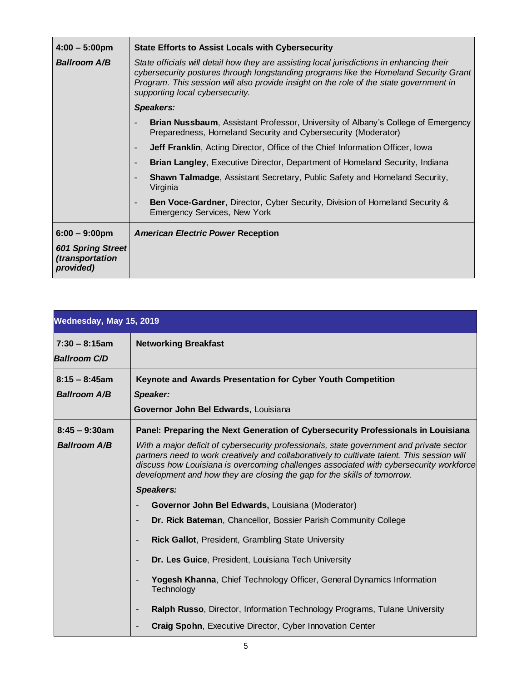| $4:00 - 5:00$ pm                                  | State Efforts to Assist Locals with Cybersecurity                                                                                                                                                                                                                                                               |
|---------------------------------------------------|-----------------------------------------------------------------------------------------------------------------------------------------------------------------------------------------------------------------------------------------------------------------------------------------------------------------|
| <b>Ballroom A/B</b>                               | State officials will detail how they are assisting local jurisdictions in enhancing their<br>cybersecurity postures through longstanding programs like the Homeland Security Grant<br>Program. This session will also provide insight on the role of the state government in<br>supporting local cybersecurity. |
|                                                   | Speakers:                                                                                                                                                                                                                                                                                                       |
|                                                   | <b>Brian Nussbaum, Assistant Professor, University of Albany's College of Emergency</b><br>Preparedness, Homeland Security and Cybersecurity (Moderator)                                                                                                                                                        |
|                                                   | <b>Jeff Franklin, Acting Director, Office of the Chief Information Officer, Iowa</b>                                                                                                                                                                                                                            |
|                                                   | <b>Brian Langley</b> , Executive Director, Department of Homeland Security, Indiana                                                                                                                                                                                                                             |
|                                                   | <b>Shawn Talmadge, Assistant Secretary, Public Safety and Homeland Security,</b><br>Virginia                                                                                                                                                                                                                    |
|                                                   | <b>Ben Voce-Gardner, Director, Cyber Security, Division of Homeland Security &amp;</b><br><b>Emergency Services, New York</b>                                                                                                                                                                                   |
| $6:00 - 9:00 \text{pm}$                           | <b>American Electric Power Reception</b>                                                                                                                                                                                                                                                                        |
| 601 Spring Street<br>(transportation<br>provided) |                                                                                                                                                                                                                                                                                                                 |

| Wednesday, May 15, 2019                 |                                                                                                                                                                                                                                                                                                                                                               |
|-----------------------------------------|---------------------------------------------------------------------------------------------------------------------------------------------------------------------------------------------------------------------------------------------------------------------------------------------------------------------------------------------------------------|
| $7:30 - 8:15am$<br><b>Ballroom C/D</b>  | <b>Networking Breakfast</b>                                                                                                                                                                                                                                                                                                                                   |
| $8:15 - 8:45$ am<br><b>Ballroom A/B</b> | Keynote and Awards Presentation for Cyber Youth Competition<br>Speaker:<br>Governor John Bel Edwards, Louisiana                                                                                                                                                                                                                                               |
| $8:45 - 9:30$ am                        | Panel: Preparing the Next Generation of Cybersecurity Professionals in Louisiana                                                                                                                                                                                                                                                                              |
| <b>Ballroom A/B</b>                     | With a major deficit of cybersecurity professionals, state government and private sector<br>partners need to work creatively and collaboratively to cultivate talent. This session will<br>discuss how Louisiana is overcoming challenges associated with cybersecurity workforce<br>development and how they are closing the gap for the skills of tomorrow. |
|                                         | <b>Speakers:</b>                                                                                                                                                                                                                                                                                                                                              |
|                                         | Governor John Bel Edwards, Louisiana (Moderator)                                                                                                                                                                                                                                                                                                              |
|                                         | Dr. Rick Bateman, Chancellor, Bossier Parish Community College                                                                                                                                                                                                                                                                                                |
|                                         | <b>Rick Gallot, President, Grambling State University</b>                                                                                                                                                                                                                                                                                                     |
|                                         | Dr. Les Guice, President, Louisiana Tech University                                                                                                                                                                                                                                                                                                           |
|                                         | <b>Yogesh Khanna, Chief Technology Officer, General Dynamics Information</b><br>Technology                                                                                                                                                                                                                                                                    |
|                                         | Ralph Russo, Director, Information Technology Programs, Tulane University                                                                                                                                                                                                                                                                                     |
|                                         | Craig Spohn, Executive Director, Cyber Innovation Center                                                                                                                                                                                                                                                                                                      |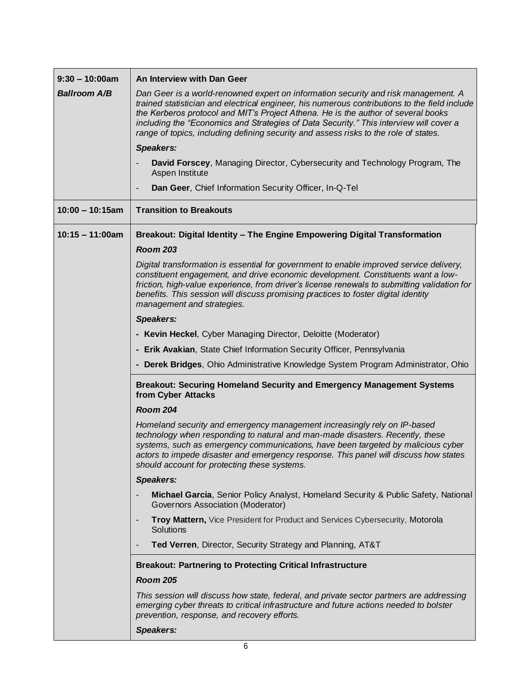| $9:30 - 10:00am$    | An Interview with Dan Geer                                                                                                                                                                                                                                                                                                                                                                                                                                 |
|---------------------|------------------------------------------------------------------------------------------------------------------------------------------------------------------------------------------------------------------------------------------------------------------------------------------------------------------------------------------------------------------------------------------------------------------------------------------------------------|
| <b>Ballroom A/B</b> | Dan Geer is a world-renowned expert on information security and risk management. A<br>trained statistician and electrical engineer, his numerous contributions to the field include<br>the Kerberos protocol and MIT's Project Athena. He is the author of several books<br>including the "Economics and Strategies of Data Security." This interview will cover a<br>range of topics, including defining security and assess risks to the role of states. |
|                     | <b>Speakers:</b>                                                                                                                                                                                                                                                                                                                                                                                                                                           |
|                     | David Forscey, Managing Director, Cybersecurity and Technology Program, The<br>Aspen Institute                                                                                                                                                                                                                                                                                                                                                             |
|                     | Dan Geer, Chief Information Security Officer, In-Q-Tel                                                                                                                                                                                                                                                                                                                                                                                                     |
| $10:00 - 10:15am$   | <b>Transition to Breakouts</b>                                                                                                                                                                                                                                                                                                                                                                                                                             |
| $10:15 - 11:00am$   | Breakout: Digital Identity - The Engine Empowering Digital Transformation                                                                                                                                                                                                                                                                                                                                                                                  |
|                     | <b>Room 203</b>                                                                                                                                                                                                                                                                                                                                                                                                                                            |
|                     | Digital transformation is essential for government to enable improved service delivery,<br>constituent engagement, and drive economic development. Constituents want a low-<br>friction, high-value experience, from driver's license renewals to submitting validation for<br>benefits. This session will discuss promising practices to foster digital identity<br>management and strategies.                                                            |
|                     | <b>Speakers:</b>                                                                                                                                                                                                                                                                                                                                                                                                                                           |
|                     | - Kevin Heckel, Cyber Managing Director, Deloitte (Moderator)                                                                                                                                                                                                                                                                                                                                                                                              |
|                     | - Erik Avakian, State Chief Information Security Officer, Pennsylvania                                                                                                                                                                                                                                                                                                                                                                                     |
|                     | - Derek Bridges, Ohio Administrative Knowledge System Program Administrator, Ohio                                                                                                                                                                                                                                                                                                                                                                          |
|                     | <b>Breakout: Securing Homeland Security and Emergency Management Systems</b><br>from Cyber Attacks                                                                                                                                                                                                                                                                                                                                                         |
|                     | <b>Room 204</b>                                                                                                                                                                                                                                                                                                                                                                                                                                            |
|                     | Homeland security and emergency management increasingly rely on IP-based<br>technology when responding to natural and man-made disasters. Recently, these<br>systems, such as emergency communications, have been targeted by malicious cyber<br>actors to impede disaster and emergency response. This panel will discuss how states<br>should account for protecting these systems.                                                                      |
|                     | <b>Speakers:</b>                                                                                                                                                                                                                                                                                                                                                                                                                                           |
|                     | Michael Garcia, Senior Policy Analyst, Homeland Security & Public Safety, National<br>Governors Association (Moderator)                                                                                                                                                                                                                                                                                                                                    |
|                     | Troy Mattern, Vice President for Product and Services Cybersecurity, Motorola<br>Solutions                                                                                                                                                                                                                                                                                                                                                                 |
|                     | Ted Verren, Director, Security Strategy and Planning, AT&T                                                                                                                                                                                                                                                                                                                                                                                                 |
|                     | <b>Breakout: Partnering to Protecting Critical Infrastructure</b>                                                                                                                                                                                                                                                                                                                                                                                          |
|                     | <b>Room 205</b>                                                                                                                                                                                                                                                                                                                                                                                                                                            |
|                     | This session will discuss how state, federal, and private sector partners are addressing<br>emerging cyber threats to critical infrastructure and future actions needed to bolster<br>prevention, response, and recovery efforts.                                                                                                                                                                                                                          |
|                     | <b>Speakers:</b>                                                                                                                                                                                                                                                                                                                                                                                                                                           |

L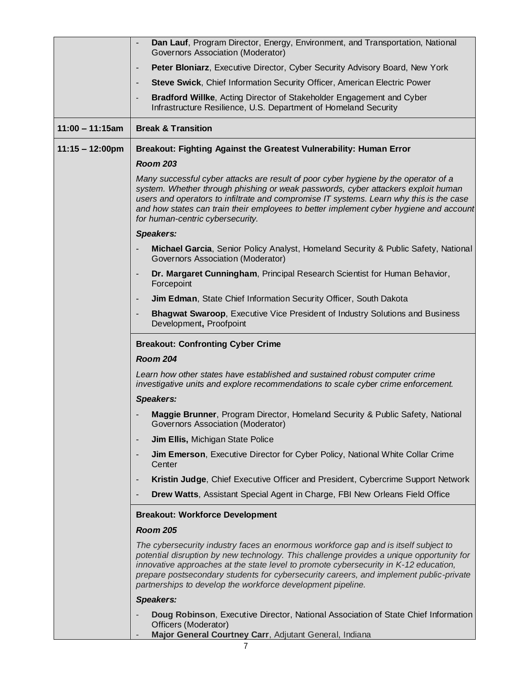|                           | Dan Lauf, Program Director, Energy, Environment, and Transportation, National<br>Governors Association (Moderator)                                                                                                                                                                                                                                                                                                               |
|---------------------------|----------------------------------------------------------------------------------------------------------------------------------------------------------------------------------------------------------------------------------------------------------------------------------------------------------------------------------------------------------------------------------------------------------------------------------|
|                           | Peter Bloniarz, Executive Director, Cyber Security Advisory Board, New York<br>$\overline{\phantom{a}}$                                                                                                                                                                                                                                                                                                                          |
|                           | Steve Swick, Chief Information Security Officer, American Electric Power                                                                                                                                                                                                                                                                                                                                                         |
|                           | Bradford Willke, Acting Director of Stakeholder Engagement and Cyber<br>Infrastructure Resilience, U.S. Department of Homeland Security                                                                                                                                                                                                                                                                                          |
| $11:00 - 11:15am$         | <b>Break &amp; Transition</b>                                                                                                                                                                                                                                                                                                                                                                                                    |
| $11:15 - 12:00 \text{pm}$ | Breakout: Fighting Against the Greatest Vulnerability: Human Error                                                                                                                                                                                                                                                                                                                                                               |
|                           | <b>Room 203</b>                                                                                                                                                                                                                                                                                                                                                                                                                  |
|                           | Many successful cyber attacks are result of poor cyber hygiene by the operator of a<br>system. Whether through phishing or weak passwords, cyber attackers exploit human<br>users and operators to infiltrate and compromise IT systems. Learn why this is the case<br>and how states can train their employees to better implement cyber hygiene and account<br>for human-centric cybersecurity.                                |
|                           | <b>Speakers:</b>                                                                                                                                                                                                                                                                                                                                                                                                                 |
|                           | Michael Garcia, Senior Policy Analyst, Homeland Security & Public Safety, National<br>Governors Association (Moderator)                                                                                                                                                                                                                                                                                                          |
|                           | Dr. Margaret Cunningham, Principal Research Scientist for Human Behavior,<br>Forcepoint                                                                                                                                                                                                                                                                                                                                          |
|                           | Jim Edman, State Chief Information Security Officer, South Dakota<br>٠                                                                                                                                                                                                                                                                                                                                                           |
|                           | <b>Bhagwat Swaroop, Executive Vice President of Industry Solutions and Business</b><br>Development, Proofpoint                                                                                                                                                                                                                                                                                                                   |
|                           | <b>Breakout: Confronting Cyber Crime</b>                                                                                                                                                                                                                                                                                                                                                                                         |
|                           | <b>Room 204</b>                                                                                                                                                                                                                                                                                                                                                                                                                  |
|                           | Learn how other states have established and sustained robust computer crime<br>investigative units and explore recommendations to scale cyber crime enforcement.                                                                                                                                                                                                                                                                 |
|                           | <b>Speakers:</b>                                                                                                                                                                                                                                                                                                                                                                                                                 |
|                           | Maggie Brunner, Program Director, Homeland Security & Public Safety, National<br>Governors Association (Moderator)                                                                                                                                                                                                                                                                                                               |
|                           | <b>Jim Ellis, Michigan State Police</b>                                                                                                                                                                                                                                                                                                                                                                                          |
|                           | Jim Emerson, Executive Director for Cyber Policy, National White Collar Crime<br>Center                                                                                                                                                                                                                                                                                                                                          |
|                           | Kristin Judge, Chief Executive Officer and President, Cybercrime Support Network                                                                                                                                                                                                                                                                                                                                                 |
|                           | Drew Watts, Assistant Special Agent in Charge, FBI New Orleans Field Office                                                                                                                                                                                                                                                                                                                                                      |
|                           | <b>Breakout: Workforce Development</b>                                                                                                                                                                                                                                                                                                                                                                                           |
|                           | <b>Room 205</b>                                                                                                                                                                                                                                                                                                                                                                                                                  |
|                           | The cybersecurity industry faces an enormous workforce gap and is itself subject to<br>potential disruption by new technology. This challenge provides a unique opportunity for<br>innovative approaches at the state level to promote cybersecurity in K-12 education,<br>prepare postsecondary students for cybersecurity careers, and implement public-private<br>partnerships to develop the workforce development pipeline. |
|                           | <b>Speakers:</b>                                                                                                                                                                                                                                                                                                                                                                                                                 |
|                           | Doug Robinson, Executive Director, National Association of State Chief Information<br>Officers (Moderator)<br>Major General Courtney Carr, Adjutant General, Indiana                                                                                                                                                                                                                                                             |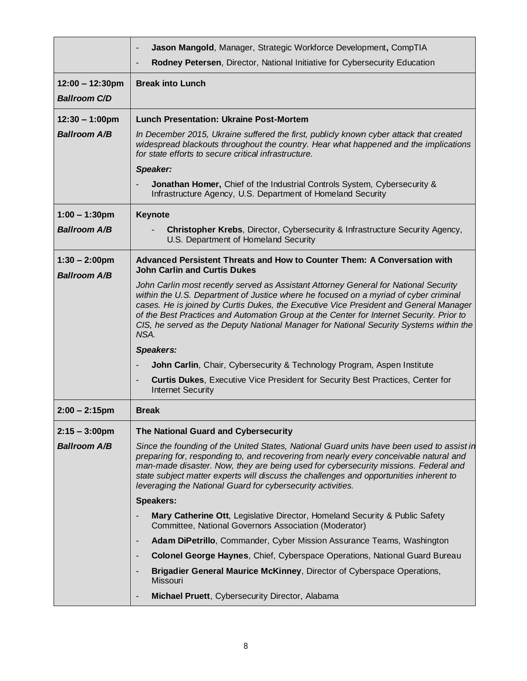|                                         | Jason Mangold, Manager, Strategic Workforce Development, CompTIA                                                                                                                                                                                                                                                                                                                                                                                                    |
|-----------------------------------------|---------------------------------------------------------------------------------------------------------------------------------------------------------------------------------------------------------------------------------------------------------------------------------------------------------------------------------------------------------------------------------------------------------------------------------------------------------------------|
|                                         | Rodney Petersen, Director, National Initiative for Cybersecurity Education                                                                                                                                                                                                                                                                                                                                                                                          |
| $12:00 - 12:30$ pm                      | <b>Break into Lunch</b>                                                                                                                                                                                                                                                                                                                                                                                                                                             |
| <b>Ballroom C/D</b>                     |                                                                                                                                                                                                                                                                                                                                                                                                                                                                     |
| $12:30 - 1:00 \text{pm}$                | <b>Lunch Presentation: Ukraine Post-Mortem</b>                                                                                                                                                                                                                                                                                                                                                                                                                      |
| <b>Ballroom A/B</b>                     | In December 2015, Ukraine suffered the first, publicly known cyber attack that created<br>widespread blackouts throughout the country. Hear what happened and the implications<br>for state efforts to secure critical infrastructure.                                                                                                                                                                                                                              |
|                                         | Speaker:                                                                                                                                                                                                                                                                                                                                                                                                                                                            |
|                                         | Jonathan Homer, Chief of the Industrial Controls System, Cybersecurity &<br>Infrastructure Agency, U.S. Department of Homeland Security                                                                                                                                                                                                                                                                                                                             |
| $1:00 - 1:30$ pm                        | Keynote                                                                                                                                                                                                                                                                                                                                                                                                                                                             |
| <b>Ballroom A/B</b>                     | Christopher Krebs, Director, Cybersecurity & Infrastructure Security Agency,<br>U.S. Department of Homeland Security                                                                                                                                                                                                                                                                                                                                                |
| $1:30 - 2:00$ pm<br><b>Ballroom A/B</b> | Advanced Persistent Threats and How to Counter Them: A Conversation with<br><b>John Carlin and Curtis Dukes</b>                                                                                                                                                                                                                                                                                                                                                     |
|                                         | John Carlin most recently served as Assistant Attorney General for National Security<br>within the U.S. Department of Justice where he focused on a myriad of cyber criminal<br>cases. He is joined by Curtis Dukes, the Executive Vice President and General Manager<br>of the Best Practices and Automation Group at the Center for Internet Security. Prior to<br>CIS, he served as the Deputy National Manager for National Security Systems within the<br>NSA. |
|                                         | <b>Speakers:</b>                                                                                                                                                                                                                                                                                                                                                                                                                                                    |
|                                         | John Carlin, Chair, Cybersecurity & Technology Program, Aspen Institute                                                                                                                                                                                                                                                                                                                                                                                             |
|                                         | <b>Curtis Dukes, Executive Vice President for Security Best Practices, Center for</b><br><b>Internet Security</b>                                                                                                                                                                                                                                                                                                                                                   |
| $2:00 - 2:15$ pm                        | <b>Break</b>                                                                                                                                                                                                                                                                                                                                                                                                                                                        |
| $2:15 - 3:00$ pm                        | The National Guard and Cybersecurity                                                                                                                                                                                                                                                                                                                                                                                                                                |
| <b>Ballroom A/B</b>                     | Since the founding of the United States, National Guard units have been used to assist in<br>preparing for, responding to, and recovering from nearly every conceivable natural and<br>man-made disaster. Now, they are being used for cybersecurity missions. Federal and<br>state subject matter experts will discuss the challenges and opportunities inherent to<br>leveraging the National Guard for cybersecurity activities.                                 |
|                                         | <b>Speakers:</b>                                                                                                                                                                                                                                                                                                                                                                                                                                                    |
|                                         | Mary Catherine Ott, Legislative Director, Homeland Security & Public Safety<br>Committee, National Governors Association (Moderator)                                                                                                                                                                                                                                                                                                                                |
|                                         | Adam DiPetrillo, Commander, Cyber Mission Assurance Teams, Washington                                                                                                                                                                                                                                                                                                                                                                                               |
|                                         | <b>Colonel George Haynes, Chief, Cyberspace Operations, National Guard Bureau</b><br>$\overline{\phantom{a}}$                                                                                                                                                                                                                                                                                                                                                       |
|                                         | Brigadier General Maurice McKinney, Director of Cyberspace Operations,<br>Missouri                                                                                                                                                                                                                                                                                                                                                                                  |
|                                         | Michael Pruett, Cybersecurity Director, Alabama                                                                                                                                                                                                                                                                                                                                                                                                                     |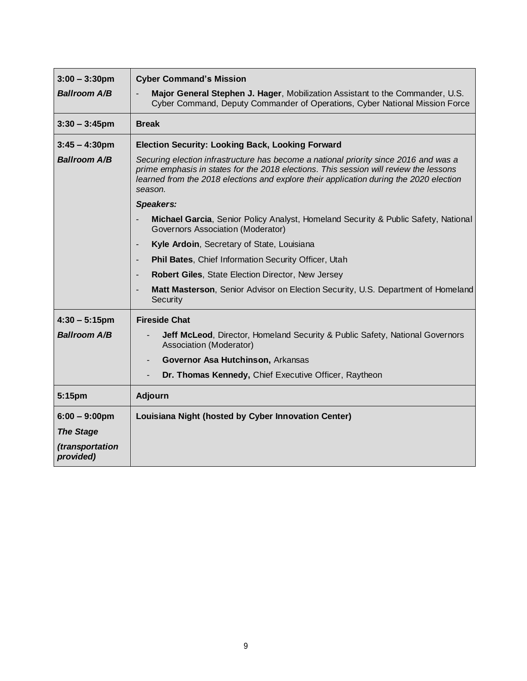| $3:00 - 3:30$ pm             | <b>Cyber Command's Mission</b>                                                                                                                                                                                                                                                     |
|------------------------------|------------------------------------------------------------------------------------------------------------------------------------------------------------------------------------------------------------------------------------------------------------------------------------|
| <b>Ballroom A/B</b>          | Major General Stephen J. Hager, Mobilization Assistant to the Commander, U.S.<br>Cyber Command, Deputy Commander of Operations, Cyber National Mission Force                                                                                                                       |
| $3:30 - 3:45$ pm             | <b>Break</b>                                                                                                                                                                                                                                                                       |
| $3:45 - 4:30$ pm             | <b>Election Security: Looking Back, Looking Forward</b>                                                                                                                                                                                                                            |
| <b>Ballroom A/B</b>          | Securing election infrastructure has become a national priority since 2016 and was a<br>prime emphasis in states for the 2018 elections. This session will review the lessons<br>learned from the 2018 elections and explore their application during the 2020 election<br>season. |
|                              | <b>Speakers:</b>                                                                                                                                                                                                                                                                   |
|                              | Michael Garcia, Senior Policy Analyst, Homeland Security & Public Safety, National<br>Governors Association (Moderator)                                                                                                                                                            |
|                              | Kyle Ardoin, Secretary of State, Louisiana                                                                                                                                                                                                                                         |
|                              | Phil Bates, Chief Information Security Officer, Utah<br>$\overline{\phantom{a}}$                                                                                                                                                                                                   |
|                              | Robert Giles, State Election Director, New Jersey                                                                                                                                                                                                                                  |
|                              | Matt Masterson, Senior Advisor on Election Security, U.S. Department of Homeland<br>Security                                                                                                                                                                                       |
| $4:30 - 5:15$ pm             | <b>Fireside Chat</b>                                                                                                                                                                                                                                                               |
| <b>Ballroom A/B</b>          | Jeff McLeod, Director, Homeland Security & Public Safety, National Governors<br>Association (Moderator)                                                                                                                                                                            |
|                              | Governor Asa Hutchinson, Arkansas                                                                                                                                                                                                                                                  |
|                              | Dr. Thomas Kennedy, Chief Executive Officer, Raytheon                                                                                                                                                                                                                              |
| 5:15pm                       | Adjourn                                                                                                                                                                                                                                                                            |
| $6:00 - 9:00$ pm             | Louisiana Night (hosted by Cyber Innovation Center)                                                                                                                                                                                                                                |
| <b>The Stage</b>             |                                                                                                                                                                                                                                                                                    |
| (transportation<br>provided) |                                                                                                                                                                                                                                                                                    |